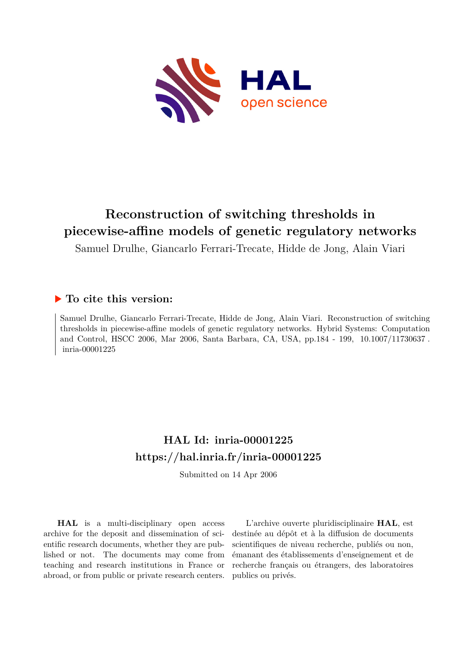

# **Reconstruction of switching thresholds in piecewise-affine models of genetic regulatory networks**

Samuel Drulhe, Giancarlo Ferrari-Trecate, Hidde de Jong, Alain Viari

# **To cite this version:**

Samuel Drulhe, Giancarlo Ferrari-Trecate, Hidde de Jong, Alain Viari. Reconstruction of switching thresholds in piecewise-affine models of genetic regulatory networks. Hybrid Systems: Computation and Control, HSCC 2006, Mar 2006, Santa Barbara, CA, USA, pp.184 - 199, 10.1007/11730637. inria-00001225

# **HAL Id: inria-00001225 <https://hal.inria.fr/inria-00001225>**

Submitted on 14 Apr 2006

**HAL** is a multi-disciplinary open access archive for the deposit and dissemination of scientific research documents, whether they are published or not. The documents may come from teaching and research institutions in France or abroad, or from public or private research centers.

L'archive ouverte pluridisciplinaire **HAL**, est destinée au dépôt et à la diffusion de documents scientifiques de niveau recherche, publiés ou non, émanant des établissements d'enseignement et de recherche français ou étrangers, des laboratoires publics ou privés.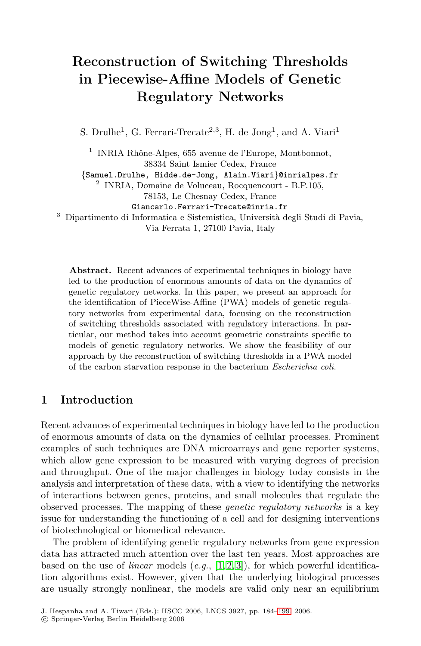# **Reconstruction of Switching Thresholds in Piecewise-Affine Models of Genetic Regulatory Networks**

S. Drulhe<sup>1</sup>, G. Ferrari-Trecate<sup>2,3</sup>, H. de Jong<sup>1</sup>, and A. Viari<sup>1</sup>

<sup>1</sup> INRIA Rhône-Alpes, 655 avenue de l'Europe, Montbonnot, 38334 Saint Ismier Cedex, France {Samuel.Drulhe, Hidde.de-Jong, Alain.Viari}@inrialpes.fr <sup>2</sup> INRIA, Domaine de Voluceau, Rocquencourt - B.P.105, 78153, Le Chesnay Cedex, France Giancarlo.Ferrari-Trecate@inria.fr  $^3$  Dipartimento di Informatica e Sistemistica, Università degli Studi di Pavia, Via Ferrata 1, 27100 Pavia, Italy

**Abstract.** Recent advances of experimental techniques in biology have led to the production of enormous amounts of data on the dynamics of genetic regulatory networks. In this paper, we present an approach for the identification of PieceWise-Affine (PWA) models of genetic regulatory networks from experimental data, focusing on the reconstruction of switching thresholds associated with regulatory interactions. In particular, our method takes into account geometric constraints specific to models of genetic regulatory networks. We show the feasibility of our approach by the reconstruction of switching thresholds in a PWA model of the carbon starvation response in the bacterium Escherichia coli.

#### **1 Introduction**

Recent advances of experimental techniques in biology have led to the production of enormous amounts of data on the dynamics of cellular processes. Prominent examples of such techniques are DNA microarrays and gene reporter systems, which allow gene expression to be measured with varying degrees of precision and throughput. One of the major challenges in biology today consists in the analysis and interpretation of these data, with a view to identifying the networks of interactions between genes, proteins, and small molecules that regulate the observed processes. The mapping of these genetic regulatory networks is a key issue for understanding the functioning of a cell and for designing interventions of biotechnological or biomedical relevance.

The problem of identifying genetic regulatory networks from gene expression data has attracted much attention over the last ten years. Most approaches are based on the use of *linear* models  $(e.g., [1, 2, 3])$ , for which powerful identification algorithms exist. However, given that the underlying biological processes are usually strongly nonlinear, the models are valid only near an equilibrium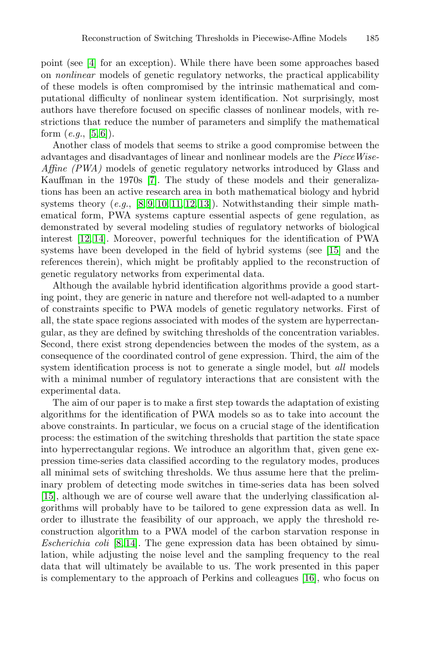point (see [4] for an exception). While there have been some approaches based on nonlinear models of genetic regulatory networks, the practical applicability of these models is often compromised by the intrinsic mathematical and computational difficulty of nonlinear system identification. Not surprisingly, most authors have therefore focused on specific classes of nonlinear models, with restrictions that reduce the number of parameters and simplify the mathematical form  $(e.g., [5, 6])$ .

Another class of models that seems to strike a good compromise between the advantages and disadvantages of linear and nonlinear models are the PieceWise-Affine (PWA) models of genetic regulatory networks introduced by Glass and Kauffman in the 1970s [7]. The study of these models and their generalizations has been an active research area in both mathematical biology and hybrid systems theory  $(e.g., [8, 9, 10, 11, 12, 13])$ . Notwithstanding their simple mathematical form, PWA systems capture essential aspects of gene regulation, as demonstrated by several modeling studies of regulatory networks of biological interest [12, 14]. Moreover, powerful techniques for the identification of PWA systems have been developed in the field of hybrid systems (see [15] and the references therein), which might be profitably applied to the reconstruction of genetic regulatory networks from experimental data.

Although the available hybrid identification algorithms provide a good starting point, they are generic in nature and therefore not well-adapted to a number of constraints specific to PWA models of genetic regulatory networks. First of all, the state space regions associated with modes of the system are hyperrectangular, as they are defined by switching thresholds of the concentration variables. Second, there exist strong dependencies between the modes of the system, as a consequence of the coordinated control of gene expression. Third, the aim of the system identification process is not to generate a single model, but *all* models with a minimal number of regulatory interactions that are consistent with the experimental data.

The aim of our paper is to make a first step towards the adaptation of existing algorithms for the identification of PWA models so as to take into account the above constraints. In particular, we focus on a crucial stage of the identification process: the estimation of the switching thresholds that partition the state space into hyperrectangular regions. We introduce an algorithm that, given gene expression time-series data classified according to the regulatory modes, produces all minimal sets of switching thresholds. We thus assume here that the preliminary problem of detecting mode switches in time-series data has been solved [15], although we are of course well aware that the underlying classification algorithms will probably have to be tailored to gene expression data as well. In order to illustrate the feasibility of our approach, we apply the threshold reconstruction algorithm to a PWA model of the carbon starvation response in Escherichia coli [8, 14]. The gene expression data has been obtained by simulation, while adjusting the noise level and the sampling frequency to the real data that will ultimately be available to us. The work presented in this paper is complementary to the approach of Perkins and colleagues [16], who focus on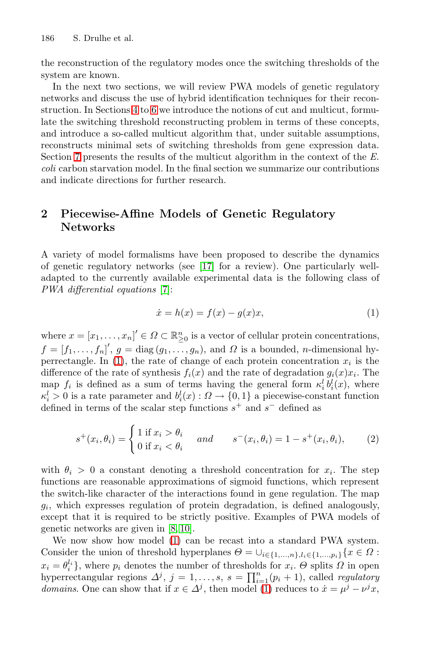the reconstruction of the regulatory modes once the switching thresholds of the system are known.

In the next two sections, we will review PWA models of genetic regulatory networks and discuss the use of hybrid identification techniques for their reconstruction. In Sections 4 to 6 we introduce the notions of cut and multicut, formulate the switching threshold reconstructing problem in terms of these concepts, and introduce a so-called multicut algorithm that, under suitable assumptions, reconstructs minimal sets of switching thresholds from gene expression data. Section 7 presents the results of the multicut algorithm in the context of the E. coli carbon starvation model. In the final section we summarize our contributions and indicate directions for further research.

#### **2 Piecewise-Affine Models of Genetic Regulatory Networks**

A variety of model formalisms have been proposed to describe the dynamics of genetic regulatory networks (see [17] for a review). One particularly welladapted to the currently available experimental data is the following class of PWA differential equations [7]:

$$
\dot{x} = h(x) = f(x) - g(x)x,\tag{1}
$$

where  $x = [x_1, \ldots, x_n]' \in \Omega \subset \mathbb{R}_{\geq 0}^n$  is a vector of cellular protein concentrations,  $f = [f_1, \ldots, f_n]'$ ,  $g = \text{diag}(g_1, \ldots, g_n)$ , and  $\Omega$  is a bounded, *n*-dimensional hyperrectangle. In (1), the rate of change of each protein concentration  $x_i$  is the difference of the rate of synthesis  $f_i(x)$  and the rate of degradation  $g_i(x)x_i$ . The map  $f_i$  is defined as a sum of terms having the general form  $\kappa_i^l b_i^l(x)$ , where  $\kappa_i^l > 0$  is a rate parameter and  $b_i^l(x) : \Omega \to \{0,1\}$  a piecewise-constant function defined in terms of the scalar step functions  $s^+$  and  $s^-$  defined as

$$
s^+(x_i, \theta_i) = \begin{cases} 1 \text{ if } x_i > \theta_i \\ 0 \text{ if } x_i < \theta_i \end{cases} \quad and \quad s^-(x_i, \theta_i) = 1 - s^+(x_i, \theta_i), \quad (2)
$$

with  $\theta_i > 0$  a constant denoting a threshold concentration for  $x_i$ . The step functions are reasonable approximations of sigmoid functions, which represent the switch-like character of the interactions found in gene regulation. The map  $g_i$ , which expresses regulation of protein degradation, is defined analogously, except that it is required to be strictly positive. Examples of PWA models of genetic networks are given in [8, 10].

We now show how model (1) can be recast into a standard PWA system. Consider the union of threshold hyperplanes  $\Theta = \cup_{i \in \{1,...,n\}, l_i \in \{1,...,p_i\}} \{x \in \Omega :$  $x_i = \theta_i^{l_i}$ , where  $p_i$  denotes the number of thresholds for  $x_i$ .  $\Theta$  splits  $\Omega$  in open hyperrectangular regions  $\Delta^j$ ,  $j = 1, ..., s$ ,  $s = \prod_{i=1}^n (p_i + 1)$ , called *regulatory domains*. One can show that if  $x \in \Delta^j$ , then model (1) reduces to  $\dot{x} = \mu^j - \nu^j x$ ,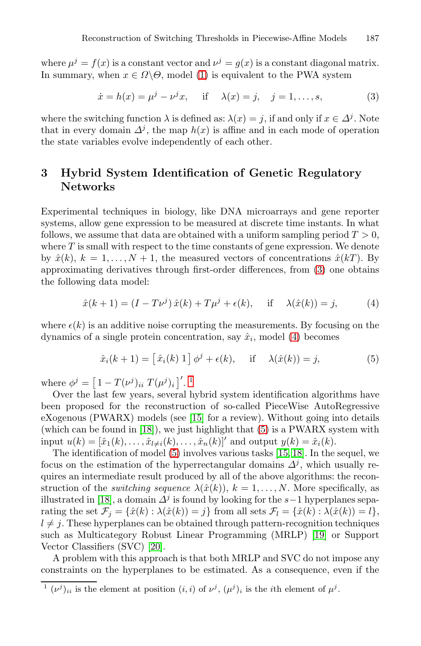where  $\mu^{j} = f(x)$  is a constant vector and  $\nu^{j} = g(x)$  is a constant diagonal matrix. In summary, when  $x \in \Omega \backslash \Theta$ , model (1) is equivalent to the PWA system

$$
\dot{x} = h(x) = \mu^{j} - \nu^{j} x
$$
, if  $\lambda(x) = j$ ,  $j = 1, ..., s$ , (3)

where the switching function  $\lambda$  is defined as:  $\lambda(x) = j$ , if and only if  $x \in \Delta^j$ . Note that in every domain  $\Delta^{j}$ , the map  $h(x)$  is affine and in each mode of operation the state variables evolve independently of each other.

### **3 Hybrid System Identification of Genetic Regulatory Networks**

Experimental techniques in biology, like DNA microarrays and gene reporter systems, allow gene expression to be measured at discrete time instants. In what follows, we assume that data are obtained with a uniform sampling period  $T > 0$ , where  $T$  is small with respect to the time constants of gene expression. We denote by  $\hat{x}(k)$ ,  $k = 1, ..., N + 1$ , the measured vectors of concentrations  $\hat{x}(k)$ . By approximating derivatives through first-order differences, from (3) one obtains the following data model:

$$
\hat{x}(k+1) = (I - T\nu^j)\,\hat{x}(k) + T\mu^j + \epsilon(k), \quad \text{if} \quad \lambda(\hat{x}(k)) = j,\tag{4}
$$

where  $\epsilon(k)$  is an additive noise corrupting the measurements. By focusing on the dynamics of a single protein concentration, say  $\hat{x}_i$ , model (4) becomes

$$
\hat{x}_i(k+1) = \left[\hat{x}_i(k) \; 1\right] \phi^j + \epsilon(k), \quad \text{if} \quad \lambda(\hat{x}(k)) = j,\tag{5}
$$

where  $\phi^{j} = \left[1 - T(\nu^{j})_{ii} T(\mu^{j})_{i}\right]'.$ <sup>1</sup>

Over the last few years, several hybrid system identification algorithms have been proposed for the reconstruction of so-called PieceWise AutoRegressive eXogenous (PWARX) models (see [15] for a review). Without going into details (which can be found in [18]), we just highlight that (5) is a PWARX system with input  $u(k) = [\hat{x}_1(k), \dots, \hat{x}_{l \neq i}(k), \dots, \hat{x}_n(k)]'$  and output  $y(k) = \hat{x}_i(k)$ .

The identification of model (5) involves various tasks [15, 18]. In the sequel, we focus on the estimation of the hyperrectangular domains  $\Delta^{j}$ , which usually requires an intermediate result produced by all of the above algorithms: the reconstruction of the *switching sequence*  $\lambda(\hat{x}(k))$ ,  $k = 1, \ldots, N$ . More specifically, as illustrated in [18], a domain  $\Delta^j$  is found by looking for the s−1 hyperplanes separating the set  $\mathcal{F}_j = \{\hat{x}(k) : \lambda(\hat{x}(k)) = j\}$  from all sets  $\mathcal{F}_l = \{\hat{x}(k) : \lambda(\hat{x}(k)) = l\},$  $l \neq j$ . These hyperplanes can be obtained through pattern-recognition techniques such as Multicategory Robust Linear Programming (MRLP) [19] or Support Vector Classifiers (SVC) [20].

A problem with this approach is that both MRLP and SVC do not impose any constraints on the hyperplanes to be estimated. As a consequence, even if the

 $^{1}(\nu^{j})_{ii}$  is the element at position  $(i, i)$  of  $\nu^{j}$ ,  $(\mu^{j})_{i}$  is the *i*th element of  $\mu^{j}$ .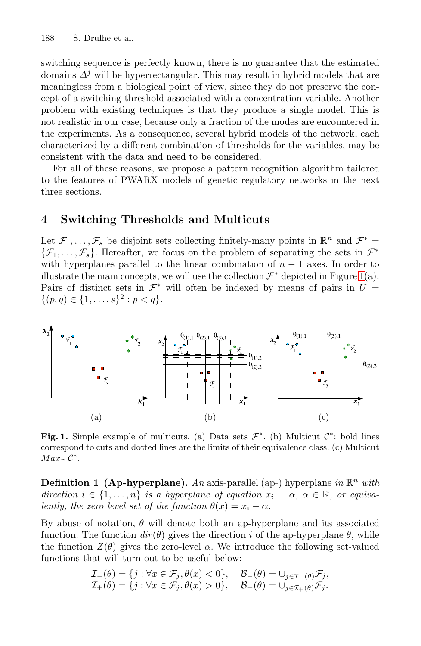switching sequence is perfectly known, there is no guarantee that the estimated domains  $\Delta^{j}$  will be hyperrectangular. This may result in hybrid models that are meaningless from a biological point of view, since they do not preserve the concept of a switching threshold associated with a concentration variable. Another problem with existing techniques is that they produce a single model. This is not realistic in our case, because only a fraction of the modes are encountered in the experiments. As a consequence, several hybrid models of the network, each characterized by a different combination of thresholds for the variables, may be consistent with the data and need to be considered.

For all of these reasons, we propose a pattern recognition algorithm tailored to the features of PWARX models of genetic regulatory networks in the next three sections.

#### **4 Switching Thresholds and Multicuts**

Let  $\mathcal{F}_1,\ldots,\mathcal{F}_s$  be disjoint sets collecting finitely-many points in  $\mathbb{R}^n$  and  $\mathcal{F}^*$  $\{\mathcal{F}_1,\ldots,\mathcal{F}_s\}$ . Hereafter, we focus on the problem of separating the sets in  $\mathcal{F}^*$ with hyperplanes parallel to the linear combination of  $n - 1$  axes. In order to illustrate the main concepts, we will use the collection  $\mathcal{F}^*$  depicted in Figure 1(a). Pairs of distinct sets in  $\mathcal{F}^*$  will often be indexed by means of pairs in  $U =$  $\{(p,q) \in \{1,\ldots,s\}^2 : p < q\}.$ 



**Fig. 1.** Simple example of multicuts. (a) Data sets  $\mathcal{F}^*$ . (b) Multicut  $\mathcal{C}^*$ : bold lines correspond to cuts and dotted lines are the limits of their equivalence class. (c) Multicut  $Max \leq C^*$ .

**Definition 1 (Ap-hyperplane).** An axis-parallel (ap-) hyperplane in  $\mathbb{R}^n$  with direction  $i \in \{1, \ldots, n\}$  is a hyperplane of equation  $x_i = \alpha, \alpha \in \mathbb{R}$ , or equivalently, the zero level set of the function  $\theta(x) = x_i - \alpha$ .

By abuse of notation,  $\theta$  will denote both an ap-hyperplane and its associated function. The function  $dir(\theta)$  gives the direction i of the ap-hyperplane  $\theta$ , while the function  $Z(\theta)$  gives the zero-level  $\alpha$ . We introduce the following set-valued functions that will turn out to be useful below:

$$
\mathcal{I}_{-}(\theta) = \{j : \forall x \in \mathcal{F}_j, \theta(x) < 0\}, \quad \mathcal{B}_{-}(\theta) = \bigcup_{j \in \mathcal{I}_{-}(\theta)} \mathcal{F}_j, \mathcal{I}_{+}(\theta) = \{j : \forall x \in \mathcal{F}_j, \theta(x) > 0\}, \quad \mathcal{B}_{+}(\theta) = \bigcup_{j \in \mathcal{I}_{+}(\theta)} \mathcal{F}_j.
$$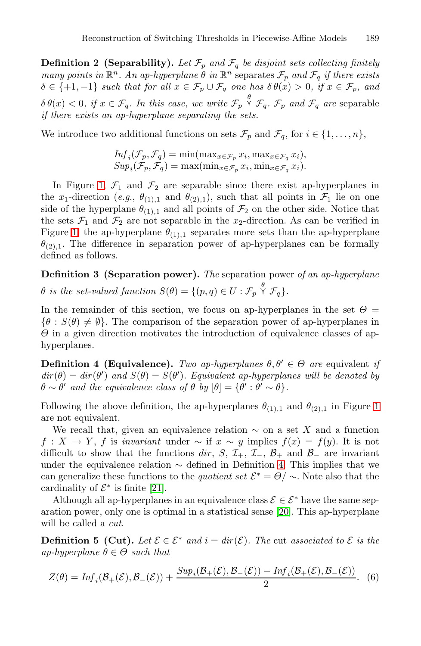**Definition 2 (Separability).** Let  $\mathcal{F}_p$  and  $\mathcal{F}_q$  be disjoint sets collecting finitely many points in  $\mathbb{R}^n$ . An ap-hyperplane  $\theta$  in  $\mathbb{R}^n$  separates  $\mathcal{F}_p$  and  $\mathcal{F}_q$  if there exists  $\delta \in \{+1,-1\}$  such that for all  $x \in \mathcal{F}_p \cup \mathcal{F}_q$  one has  $\delta \theta(x) > 0$ , if  $x \in \mathcal{F}_p$ , and  $\delta \theta(x) < 0$ , if  $x \in \mathcal{F}_q$ . In this case, we write  $\mathcal{F}_p \overset{\theta}{\setminus} \mathcal{F}_q$ .  $\mathcal{F}_p$  and  $\mathcal{F}_q$  are separable if there exists an ap-hyperplane separating the sets.

We introduce two additional functions on sets  $\mathcal{F}_p$  and  $\mathcal{F}_q$ , for  $i \in \{1,\ldots,n\}$ ,

$$
Inf_i(\mathcal{F}_p, \mathcal{F}_q) = \min(\max_{x \in \mathcal{F}_p} x_i, \max_{x \in \mathcal{F}_q} x_i),
$$
  
\n
$$
Sup_i(\mathcal{F}_p, \mathcal{F}_q) = \max(\min_{x \in \mathcal{F}_p} x_i, \min_{x \in \mathcal{F}_q} x_i).
$$

In Figure 1,  $\mathcal{F}_1$  and  $\mathcal{F}_2$  are separable since there exist ap-hyperplanes in the x<sub>1</sub>-direction (e.g.,  $\theta_{(1),1}$  and  $\theta_{(2),1}$ ), such that all points in  $\mathcal{F}_1$  lie on one side of the hyperplane  $\theta_{(1),1}$  and all points of  $\mathcal{F}_2$  on the other side. Notice that the sets  $\mathcal{F}_1$  and  $\mathcal{F}_2$  are not separable in the  $x_2$ -direction. As can be verified in Figure 1, the ap-hyperplane  $\theta_{(1),1}$  separates more sets than the ap-hyperplane  $\theta_{(2),1}$ . The difference in separation power of ap-hyperplanes can be formally defined as follows.

**Definition 3 (Separation power).** The separation power of an ap-hyperplane  $\theta$  is the set-valued function  $S(\theta) = \{(p, q) \in U : \mathcal{F}_p \overset{\theta}{\setminus} \mathcal{F}_q\}.$ 

In the remainder of this section, we focus on ap-hyperplanes in the set  $\Theta =$  $\{\theta : S(\theta) \neq \emptyset\}$ . The comparison of the separation power of ap-hyperplanes in  $\Theta$  in a given direction motivates the introduction of equivalence classes of aphyperplanes.

**Definition 4 (Equivalence).** Two ap-hyperplanes  $\theta, \theta' \in \Theta$  are equivalent if  $dir(\theta) = dir(\theta')$  and  $S(\theta) = S(\theta')$ . Equivalent ap-hyperplanes will be denoted by  $\theta \sim \theta'$  and the equivalence class of  $\theta$  by  $[\theta] = {\theta' : \theta' \sim \theta}.$ 

Following the above definition, the ap-hyperplanes  $\theta_{(1),1}$  and  $\theta_{(2),1}$  in Figure 1 are not equivalent.

We recall that, given an equivalence relation  $\sim$  on a set X and a function  $f: X \to Y$ , f is invariant under  $\sim$  if  $x \sim y$  implies  $f(x) = f(y)$ . It is not difficult to show that the functions dir, S,  $\mathcal{I}_+, \mathcal{I}_-, \mathcal{B}_+$  and  $\mathcal{B}_-$  are invariant under the equivalence relation  $\sim$  defined in Definition 4. This implies that we can generalize these functions to the *quotient set*  $\mathcal{E}^* = \Theta / \sim$ . Note also that the cardinality of  $\mathcal{E}^*$  is finite [21].

Although all ap-hyperplanes in an equivalence class  $\mathcal{E} \in \mathcal{E}^*$  have the same separation power, only one is optimal in a statistical sense [20]. This ap-hyperplane will be called a *cut*.

**Definition 5 (Cut).** Let  $\mathcal{E} \in \mathcal{E}^*$  and  $i = \text{dir}(\mathcal{E})$ . The cut associated to  $\mathcal{E}$  is the ap-hyperplane  $\theta \in \Theta$  such that

$$
Z(\theta) = \operatorname{Inf}_i(\mathcal{B}_+(\mathcal{E}), \mathcal{B}_-(\mathcal{E})) + \frac{\operatorname{Sup}_i(\mathcal{B}_+(\mathcal{E}), \mathcal{B}_-(\mathcal{E})) - \operatorname{Inf}_i(\mathcal{B}_+(\mathcal{E}), \mathcal{B}_-(\mathcal{E}))}{2}.
$$
 (6)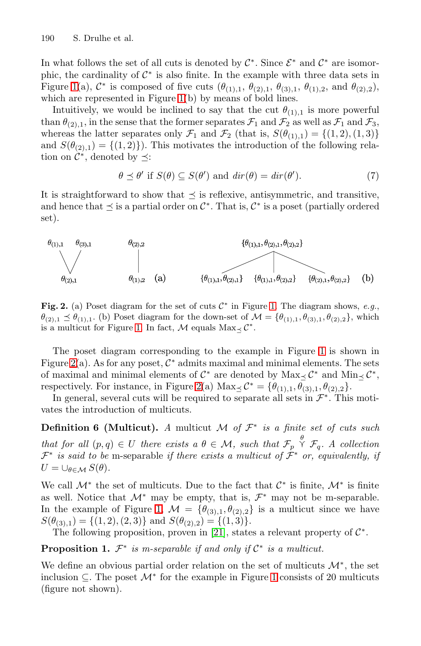In what follows the set of all cuts is denoted by  $\mathcal{C}^*$ . Since  $\mathcal{E}^*$  and  $\mathcal{C}^*$  are isomorphic, the cardinality of  $\mathcal{C}^*$  is also finite. In the example with three data sets in Figure 1(a),  $C^*$  is composed of five cuts  $(\theta_{(1),1}, \theta_{(2),1}, \theta_{(3),1}, \theta_{(1),2}, \text{ and } \theta_{(2),2}),$ which are represented in Figure 1(b) by means of bold lines.

Intuitively, we would be inclined to say that the cut  $\theta_{(1),1}$  is more powerful than  $\theta_{(2),1}$ , in the sense that the former separates  $\mathcal{F}_1$  and  $\mathcal{F}_2$  as well as  $\mathcal{F}_1$  and  $\mathcal{F}_3$ , whereas the latter separates only  $\mathcal{F}_1$  and  $\mathcal{F}_2$  (that is,  $S(\theta_{(1),1}) = \{(1,2), (1,3)\}\$ and  $S(\theta_{(2),1}) = \{(1,2)\}\)$ . This motivates the introduction of the following relation on  $\mathcal{C}^*$ , denoted by  $\preceq$ :

$$
\theta \preceq \theta' \text{ if } S(\theta) \subseteq S(\theta') \text{ and } dir(\theta) = dir(\theta'). \tag{7}
$$

It is straightforward to show that  $\preceq$  is reflexive, antisymmetric, and transitive, and hence that  $\leq$  is a partial order on  $\mathcal{C}^*$ . That is,  $\mathcal{C}^*$  is a poset (partially ordered set).



**Fig. 2.** (a) Poset diagram for the set of cuts  $C^*$  in Figure 1. The diagram shows, e.g.,  $\theta_{(2),1} \preceq \theta_{(1),1}$ . (b) Poset diagram for the down-set of  $\mathcal{M} = {\theta_{(1),1}, \theta_{(3),1}, \theta_{(2),2}}$ , which is a multicut for Figure 1. In fact, M equals  $Max_{\leq} C^*$ .

The poset diagram corresponding to the example in Figure 1 is shown in Figure 2(a). As for any poset,  $\mathcal{C}^*$  admits maximal and minimal elements. The sets of maximal and minimal elements of  $\mathcal{C}^*$  are denoted by  $Max_{\leq} \mathcal{C}^*$  and  $Min_{\leq} \mathcal{C}^*$ , respectively. For instance, in Figure 2(a)  $Max \nleq C^* = {\theta_{(1),1}, \theta_{(3),1}, \theta_{(2),2}}$ .

In general, several cuts will be required to separate all sets in  $\mathcal{F}^*$ . This motivates the introduction of multicuts.

**Definition 6 (Multicut).** A multicut M of  $\mathcal{F}^*$  is a finite set of cuts such that for all  $(p,q) \in U$  there exists  $a \theta \in \mathcal{M}$ , such that  $\mathcal{F}_p \overset{\theta}{\vee} \mathcal{F}_q$ . A collection  $\mathcal{F}^*$  is said to be m-separable if there exists a multicut of  $\mathcal{F}^*$  or, equivalently, if  $U = \bigcup_{\theta \in \mathcal{M}} S(\theta).$ 

We call  $\mathcal{M}^*$  the set of multicuts. Due to the fact that  $\mathcal{C}^*$  is finite,  $\mathcal{M}^*$  is finite as well. Notice that  $\mathcal{M}^*$  may be empty, that is,  $\mathcal{F}^*$  may not be m-separable. In the example of Figure 1,  $\mathcal{M} = {\theta_{(3),1}, \theta_{(2),2}}$  is a multicut since we have  $S(\theta_{(3),1}) = \{(1,2), (2,3)\}\$ and  $S(\theta_{(2),2}) = \{(1,3)\}.$ 

The following proposition, proven in [21], states a relevant property of  $\mathcal{C}^*$ .

**Proposition 1.**  $\mathcal{F}^*$  is m-separable if and only if  $\mathcal{C}^*$  is a multicut.

We define an obvious partial order relation on the set of multicuts  $\mathcal{M}^*$ , the set inclusion  $\subseteq$ . The poset  $\mathcal{M}^*$  for the example in Figure 1 consists of 20 multicuts (figure not shown).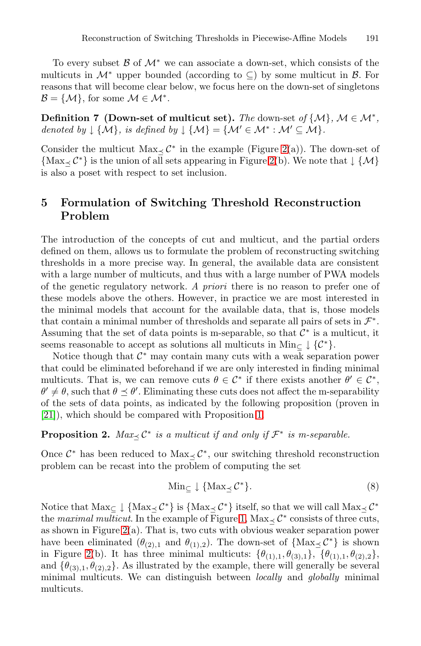To every subset  $\beta$  of  $\mathcal{M}^*$  we can associate a down-set, which consists of the multicuts in  $\mathcal{M}^*$  upper bounded (according to  $\subset$ ) by some multicut in  $\mathcal{B}$ . For reasons that will become clear below, we focus here on the down-set of singletons  $\mathcal{B} = \{\mathcal{M}\}\text{, for some } \mathcal{M} \in \mathcal{M}^*$ .

**Definition 7 (Down-set of multicut set).** The down-set of  $\{M\}$ ,  $M \in \mathcal{M}^*$ , denoted by  $\downarrow \{\mathcal{M}\},$  is defined by  $\downarrow \{\mathcal{M}\} = \{\mathcal{M}' \in \mathcal{M}^* : \mathcal{M}' \subseteq \mathcal{M}\}.$ 

Consider the multicut  $Max_{\leq} C^*$  in the example (Figure 2(a)). The down-set of  ${Max<sup>*</sup>}$  is the union of all sets appearing in Figure 2(b). We note that  $\downarrow$  { $\mathcal{M}$ } is also a poset with respect to set inclusion.

### **5 Formulation of Switching Threshold Reconstruction Problem**

The introduction of the concepts of cut and multicut, and the partial orders defined on them, allows us to formulate the problem of reconstructing switching thresholds in a more precise way. In general, the available data are consistent with a large number of multicuts, and thus with a large number of PWA models of the genetic regulatory network. A priori there is no reason to prefer one of these models above the others. However, in practice we are most interested in the minimal models that account for the available data, that is, those models that contain a minimal number of thresholds and separate all pairs of sets in  $\mathcal{F}^*$ . Assuming that the set of data points is m-separable, so that  $\mathcal{C}^*$  is a multicut, it seems reasonable to accept as solutions all multicuts in Min<sub>⊂</sub>  $\downarrow$  { $\mathcal{C}^*$ }.

Notice though that  $\mathcal{C}^*$  may contain many cuts with a weak separation power that could be eliminated beforehand if we are only interested in finding minimal multicuts. That is, we can remove cuts  $\theta \in \mathcal{C}^*$  if there exists another  $\theta' \in \mathcal{C}^*$ ,  $\theta' \neq \theta$ , such that  $\theta \preceq \theta'$ . Eliminating these cuts does not affect the m-separability of the sets of data points, as indicated by the following proposition (proven in [21]), which should be compared with Proposition 1.

#### **Proposition 2.**  $Max \subset \mathcal{C}^*$  is a multicut if and only if  $\mathcal{F}^*$  is m-separable.

Once  $\mathcal{C}^*$  has been reduced to Max<sub> $\prec$ </sub> $\mathcal{C}^*$ , our switching threshold reconstruction problem can be recast into the problem of computing the set

$$
Min_{\subseteq} \downarrow \{Max_{\preceq} C^*\}.
$$
\n(8)

Notice that  $Max_{\subset} \downarrow \{Max_{\prec} C^*\}$  is  $\{Max_{\prec} C^*\}$  itself, so that we will call  $Max_{\prec} C^*$ the maximal multicut. In the example of Figure 1, Max  $\mathcal{C}^*$  consists of three cuts, as shown in Figure 2(a). That is, two cuts with obvious weaker separation power have been eliminated  $(\theta_{(2),1}$  and  $\theta_{(1),2})$ . The down-set of {Max  $\leq$  C<sup>∗</sup>} is shown in Figure 2(b). It has three minimal multicuts:  $\{\theta_{(1),1}, \theta_{(3),1}\}, \{\theta_{(1),1}, \theta_{(2),2}\},\$ and  $\{\theta_{(3),1}, \theta_{(2),2}\}.$  As illustrated by the example, there will generally be several minimal multicuts. We can distinguish between locally and globally minimal multicuts.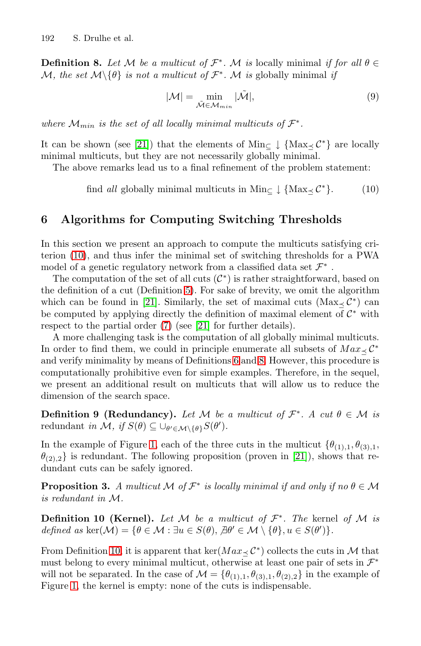**Definition 8.** Let M be a multicut of  $\mathcal{F}^*$ . M is locally minimal if for all  $\theta \in$ M, the set  $\mathcal{M}\backslash\{\theta\}$  is not a multicut of  $\mathcal{F}^*$ . M is globally minimal if

$$
|\mathcal{M}| = \min_{\tilde{\mathcal{M}} \in \mathcal{M}_{min}} |\tilde{\mathcal{M}}|,\tag{9}
$$

where  $\mathcal{M}_{min}$  is the set of all locally minimal multicuts of  $\mathcal{F}^*$ .

It can be shown (see [21]) that the elements of Min<sub>⊂</sub>  $\downarrow$  {Max  $\lt C^*$ } are locally minimal multicuts, but they are not necessarily globally minimal.

The above remarks lead us to a final refinement of the problem statement:

find all globally minimal multicuts in Min<sub>⊂</sub>  $\{ {\text{Max}} \leq C^* \}.$  (10)

#### **6 Algorithms for Computing Switching Thresholds**

In this section we present an approach to compute the multicuts satisfying criterion (10), and thus infer the minimal set of switching thresholds for a PWA model of a genetic regulatory network from a classified data set  $\mathcal{F}^*$ .

The computation of the set of all cuts  $(\mathcal{C}^*)$  is rather straightforward, based on the definition of a cut (Definition 5). For sake of brevity, we omit the algorithm which can be found in [21]. Similarly, the set of maximal cuts (Max  $\mathcal{C}^*$ ) can be computed by applying directly the definition of maximal element of  $\mathcal{C}^*$  with respect to the partial order (7) (see [21] for further details).

A more challenging task is the computation of all globally minimal multicuts. In order to find them, we could in principle enumerate all subsets of  $Max \lt C^*$ and verify minimality by means of Definitions 6 and 8. However, this procedure is computationally prohibitive even for simple examples. Therefore, in the sequel, we present an additional result on multicuts that will allow us to reduce the dimension of the search space.

**Definition 9 (Redundancy).** Let M be a multicut of  $\mathcal{F}^*$ . A cut  $\theta \in \mathcal{M}$  is redundant *in* M, if  $S(\theta) \subseteq \bigcup_{\theta' \in \mathcal{M} \setminus \{\theta\}} S(\theta')$ .

In the example of Figure 1, each of the three cuts in the multicut  $\{\theta_{(1),1}, \theta_{(3),1},\$  $\theta_{(2),2}$  is redundant. The following proposition (proven in [21]), shows that redundant cuts can be safely ignored.

**Proposition 3.** A multicut M of  $\mathcal{F}^*$  is locally minimal if and only if no  $\theta \in \mathcal{M}$ is redundant in M.

**Definition 10 (Kernel).** Let M be a multicut of  $\mathcal{F}^*$ . The kernel of M is defined as  $\ker(\mathcal{M}) = \{ \theta \in \mathcal{M} : \exists u \in S(\theta), \exists \theta' \in \mathcal{M} \setminus \{\theta\}, u \in S(\theta') \}.$ 

From Definition 10, it is apparent that ker( $Max \lt C^*$ ) collects the cuts in M that must belong to every minimal multicut, otherwise at least one pair of sets in  $\mathcal{F}^*$ will not be separated. In the case of  $\mathcal{M} = {\theta_{(1),1}, \theta_{(3),1}, \theta_{(2),2}}$  in the example of Figure 1, the kernel is empty: none of the cuts is indispensable.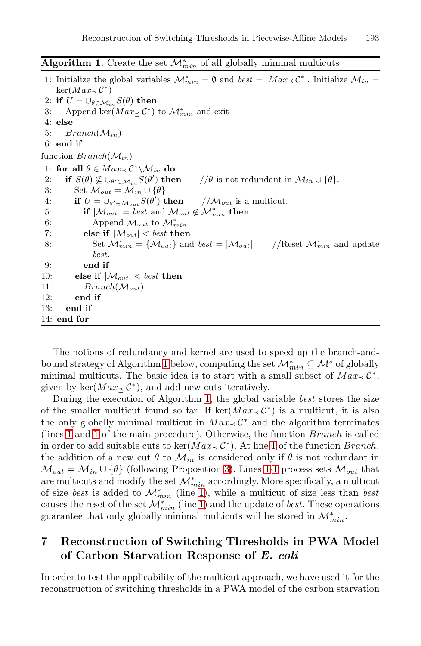## **Algorithm 1.** Create the set  $\mathcal{M}_{min}^*$  of all globally minimal multicuts

1: Initialize the global variables  $\mathcal{M}_{min}^* = \emptyset$  and  $best = |Max_{\leq} \mathcal{C}^*|$ . Initialize  $\mathcal{M}_{in}$  $\ker(Max \leq \mathcal{C}^*)$ 2: **if**  $U = \bigcup_{\theta \in \mathcal{M}_{in}} S(\theta)$  **then** 3: Append ker $(Max \leq C^*)$  to  $\mathcal{M}_{min}^*$  and exit 4: **else** 5:  $Branch(M_{in})$ 6: **end if** function  $Branch(\mathcal{M}_{in})$ 1: **for all**  $\theta \in Max \leq C^* \setminus \mathcal{M}_{in}$  **do** 2: **if**  $S(\theta) \not\subseteq \bigcup_{\theta' \in \mathcal{M}_{in}} S(\theta')$  then  $\ell/\theta$  is not redundant in  $\mathcal{M}_{in} \cup \{\theta\}.$ 3: Set  $\mathcal{M}_{out} = \mathcal{M}_{in} \cup \{\theta\}$ 4: **if**  $U = \bigcup_{\theta' \in \mathcal{M}_{out}} S(\theta')$  then  $t/M_{out}$  is a multicut. 5: **if**  $|\mathcal{M}_{out}| = best$  and  $\mathcal{M}_{out} \notin \mathcal{M}_{min}^{*}$  then 6: Append  $\mathcal{M}_{out}$  to  $\mathcal{M}_{min}^*$ 7: **else if**  $|\mathcal{M}_{out}| < best$  **then** 8: Set  $\mathcal{M}_{min}^* = {\mathcal{M}_{out}}$  and  $best = |\mathcal{M}_{out}|$  //Reset  $\mathcal{M}_{in}^*$ //Reset  $\mathcal{M}_{min}^*$  and update best. 9: **end if** 10: **else if**  $|\mathcal{M}_{out}| < best$  **then** 11:  $Branch(M_{out})$ 12: **end if** 13: **end if** 14: **end for**

The notions of redundancy and kernel are used to speed up the branch-andbound strategy of Algorithm 1 below, computing the set  $\mathcal{M}_{min}^* \subseteq \mathcal{M}^*$  of globally minimal multicuts. The basic idea is to start with a small subset of  $Max \lt C^*$ , given by ker( $Max \lt C^*$ ), and add new cuts iteratively.

During the execution of Algorithm 1, the global variable best stores the size of the smaller multicut found so far. If ker( $Max \lt C^*$ ) is a multicut, it is also the only globally minimal multicut in  $Max \leq C^*$  and the algorithm terminates (lines 1 and 1 of the main procedure). Otherwise, the function Branch is called in order to add suitable cuts to ker( $Max \lt C^*$ ). At line 1 of the function *Branch*, the addition of a new cut  $\theta$  to  $\mathcal{M}_{in}$  is considered only if  $\theta$  is not redundant in  $\mathcal{M}_{out} = \mathcal{M}_{in} \cup {\theta}$  (following Proposition 3). Lines 1-1 process sets  $\mathcal{M}_{out}$  that are multicuts and modify the set  $\mathcal{M}^*_{min}$  accordingly. More specifically, a multicut of size *best* is added to  $\mathcal{M}_{min}^*$  (line 1), while a multicut of size less than *best* causes the reset of the set  $\mathcal{M}_{min}^{*}$  (line 1) and the update of *best*. These operations guarantee that only globally minimal multicuts will be stored in  $\mathcal{M}^*_{min}$ .

### **7 Reconstruction of Switching Thresholds in PWA Model of Carbon Starvation Response of** *E. coli*

In order to test the applicability of the multicut approach, we have used it for the reconstruction of switching thresholds in a PWA model of the carbon starvation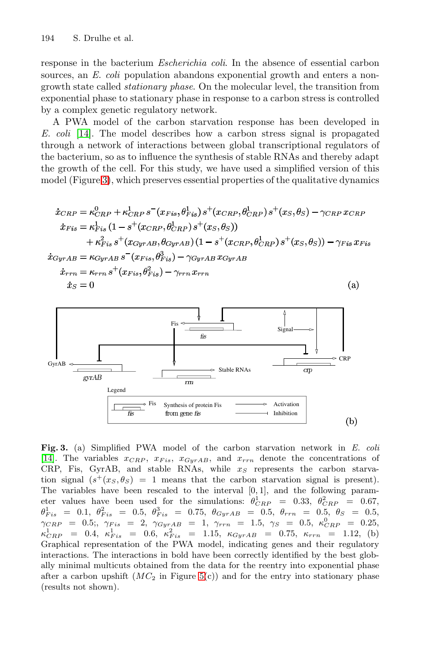response in the bacterium Escherichia coli. In the absence of essential carbon sources, an E. coli population abandons exponential growth and enters a nongrowth state called stationary phase. On the molecular level, the transition from exponential phase to stationary phase in response to a carbon stress is controlled by a complex genetic regulatory network.

A PWA model of the carbon starvation response has been developed in E. coli [14]. The model describes how a carbon stress signal is propagated through a network of interactions between global transcriptional regulators of the bacterium, so as to influence the synthesis of stable RNAs and thereby adapt the growth of the cell. For this study, we have used a simplified version of this model (Figure 3), which preserves essential properties of the qualitative dynamics

$$
\begin{split}\n\dot{x}_{CRP} &= \kappa_{CRP}^0 + \kappa_{CRP}^1 s^-(x_{Fis}, \theta_{Fis}^1) s^+(x_{CRP}, \theta_{CRP}^1) s^+(x_S, \theta_S) - \gamma_{CRP} x_{CRP} \\
\dot{x}_{Fis} &= \kappa_{Fis}^1 (1 - s^+(x_{CRP}, \theta_{CRP}^1) s^+(x_S, \theta_S)) \\
&+ \kappa_{Fis}^2 s^+(x_{GyrAB}, \theta_{GyrAB}) (1 - s^+(x_{CRP}, \theta_{CRP}^1) s^+(x_S, \theta_S)) - \gamma_{Fis} x_{Fis} \\
\dot{x}_{GyrAB} &= \kappa_{GyrAB} s^-(x_{Fis}, \theta_{Fis}^3) - \gamma_{GyrAB} x_{GyrAB} \\
\dot{x}_{rrn} &= \kappa_{rrn} s^+(x_{Fis}, \theta_{Fis}^2) - \gamma_{rrn} x_{rrn} \\
\dot{x}_S &= 0\n\end{split} \tag{a}
$$



**Fig. 3.** (a) Simplified PWA model of the carbon starvation network in E. coli [14]. The variables  $x_{CRP}$ ,  $x_{Fis}$ ,  $x_{GyrAB}$ , and  $x_{rrn}$  denote the concentrations of CRP, Fis, GyrAB, and stable RNAs, while  $x_S$  represents the carbon starvation signal  $(s^+(x<sub>S</sub>, \theta<sub>S</sub>) = 1$  means that the carbon starvation signal is present). The variables have been rescaled to the interval  $[0, 1]$ , and the following parameter values have been used for the simulations:  $\theta_{CRP}^1 = 0.33, \ \theta_{CRP}^2 = 0.67,$  $\theta_{Fis}^1$  = 0.1,  $\theta_{Fis}^2$  = 0.5,  $\theta_{Fs}^3$  = 0.75,  $\theta_{GyrAB}$  = 0.5,  $\theta_{rrn}$  = 0.5,  $\theta_{S}$  = 0.5,  $\gamma_{CRP}$  = 0.5;,  $\gamma_{Fis}$  = 2,  $\gamma_{GyrAB}$  = 1,  $\gamma_{rrn}$  = 1.5,  $\gamma_S$  = 0.5,  $\kappa_{CRP}^0$  = 0.25,  $\kappa_{CRP}^1$  = 0.4,  $\kappa_{Fis}^1$  = 0.6,  $\kappa_{Fis}^2$  = 1.15,  $\kappa_{GyrAB}$  = 0.75,  $\kappa_{rrn}$  = 1.12, (b) Graphical representation of the PWA model, indicating genes and their regulatory interactions. The interactions in bold have been correctly identified by the best globally minimal multicuts obtained from the data for the reentry into exponential phase after a carbon upshift  $(MC_2$  in Figure 5(c)) and for the entry into stationary phase (results not shown).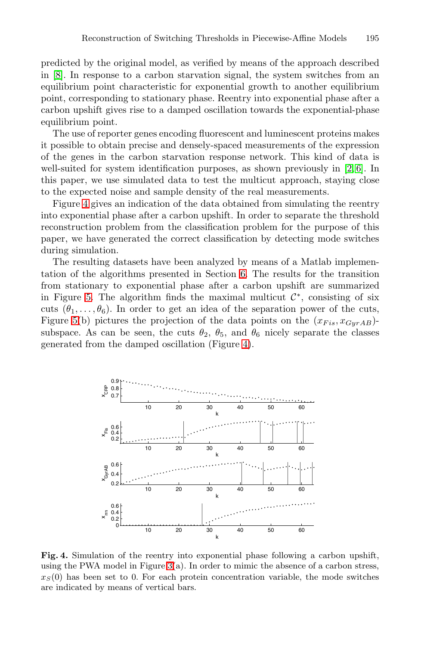predicted by the original model, as verified by means of the approach described in [8]. In response to a carbon starvation signal, the system switches from an equilibrium point characteristic for exponential growth to another equilibrium point, corresponding to stationary phase. Reentry into exponential phase after a carbon upshift gives rise to a damped oscillation towards the exponential-phase equilibrium point.

The use of reporter genes encoding fluorescent and luminescent proteins makes it possible to obtain precise and densely-spaced measurements of the expression of the genes in the carbon starvation response network. This kind of data is well-suited for system identification purposes, as shown previously in [2, 6]. In this paper, we use simulated data to test the multicut approach, staying close to the expected noise and sample density of the real measurements.

Figure 4 gives an indication of the data obtained from simulating the reentry into exponential phase after a carbon upshift. In order to separate the threshold reconstruction problem from the classification problem for the purpose of this paper, we have generated the correct classification by detecting mode switches during simulation.

The resulting datasets have been analyzed by means of a Matlab implementation of the algorithms presented in Section 6. The results for the transition from stationary to exponential phase after a carbon upshift are summarized in Figure 5. The algorithm finds the maximal multicut  $\mathcal{C}^*$ , consisting of six cuts  $(\theta_1,\ldots,\theta_6)$ . In order to get an idea of the separation power of the cuts, Figure 5(b) pictures the projection of the data points on the  $(x_{Fis}, x_{GyrAB})$ subspace. As can be seen, the cuts  $\theta_2$ ,  $\theta_5$ , and  $\theta_6$  nicely separate the classes generated from the damped oscillation (Figure 4).



**Fig. 4.** Simulation of the reentry into exponential phase following a carbon upshift, using the PWA model in Figure  $3(a)$ . In order to mimic the absence of a carbon stress,  $x_S(0)$  has been set to 0. For each protein concentration variable, the mode switches are indicated by means of vertical bars.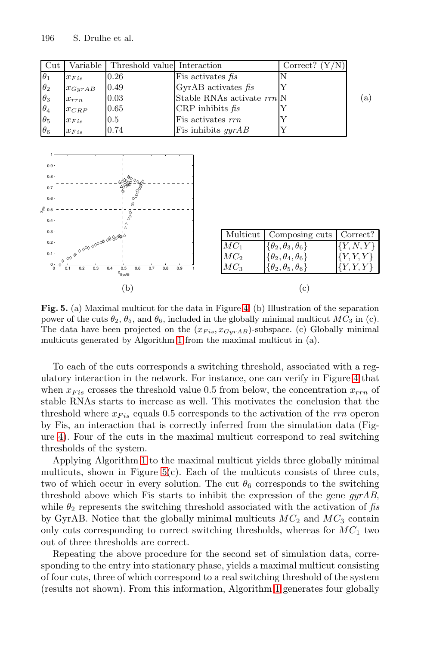| Cut        |             | Variable   Threshold value   Interaction |                            | Correct? |           |
|------------|-------------|------------------------------------------|----------------------------|----------|-----------|
| $\theta_1$ | $x_{Fis}$   | 0.26                                     | Fis activates fis          |          |           |
| $\theta_2$ | $x_{GyrAB}$ | 0.49                                     | GyrAB activates fis        |          |           |
| $\theta_3$ | $x_{rrn}$   | 0.03                                     | Stable RNAs activate rrn N |          | $\rm (a)$ |
| $\theta_4$ | $x_{CRP}$   | 0.65                                     | CRP inhibits $f_{is}$      |          |           |
| $\theta_5$ | $x_{Fis}$   | 0.5                                      | Fis activates rm           |          |           |
| $\theta_6$ | $x_{Fis}$   | 0.74                                     | Fis inhibits $gyrAB$       |          |           |



| Multicut | Composing cuts                                                           | Correct?      |  |  |
|----------|--------------------------------------------------------------------------|---------------|--|--|
| $MC_1$   |                                                                          | $\{Y, N, Y\}$ |  |  |
| $MC_2$   | $\{\theta_2, \theta_3, \theta_6\}$<br>$\{\theta_2, \theta_4, \theta_6\}$ | ${Y, Y, Y}$   |  |  |
| $MC_{3}$ | $\{\theta_2, \theta_5, \theta_6\}$                                       | ${Y, Y, Y}$   |  |  |
|          |                                                                          |               |  |  |
|          | (c)                                                                      |               |  |  |

**Fig. 5.** (a) Maximal multicut for the data in Figure 4. (b) Illustration of the separation power of the cuts  $\theta_2$ ,  $\theta_5$ , and  $\theta_6$ , included in the globally minimal multicut  $MC_3$  in (c). The data have been projected on the  $(x_{Fix}, x_{GyrAB})$ -subspace. (c) Globally minimal multicuts generated by Algorithm 1 from the maximal multicut in (a).

To each of the cuts corresponds a switching threshold, associated with a regulatory interaction in the network. For instance, one can verify in Figure 4 that when  $x_{Fis}$  crosses the threshold value 0.5 from below, the concentration  $x_{rrn}$  of stable RNAs starts to increase as well. This motivates the conclusion that the threshold where  $x_{Fis}$  equals 0.5 corresponds to the activation of the rrn operon by Fis, an interaction that is correctly inferred from the simulation data (Figure 4). Four of the cuts in the maximal multicut correspond to real switching thresholds of the system.

Applying Algorithm 1 to the maximal multicut yields three globally minimal multicuts, shown in Figure  $5(c)$ . Each of the multicuts consists of three cuts, two of which occur in every solution. The cut  $\theta_6$  corresponds to the switching threshold above which Fis starts to inhibit the expression of the gene  $gyrAB$ , while  $\theta_2$  represents the switching threshold associated with the activation of fis by GyrAB. Notice that the globally minimal multicuts  $MC_2$  and  $MC_3$  contain only cuts corresponding to correct switching thresholds, whereas for  $MC_1$  two out of three thresholds are correct.

Repeating the above procedure for the second set of simulation data, corresponding to the entry into stationary phase, yields a maximal multicut consisting of four cuts, three of which correspond to a real switching threshold of the system (results not shown). From this information, Algorithm 1 generates four globally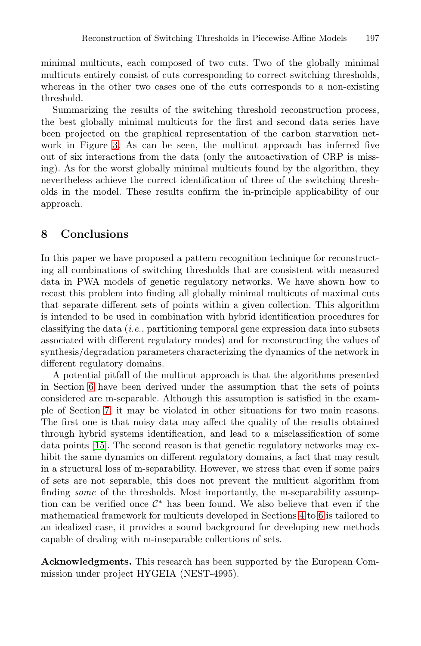minimal multicuts, each composed of two cuts. Two of the globally minimal multicuts entirely consist of cuts corresponding to correct switching thresholds, whereas in the other two cases one of the cuts corresponds to a non-existing threshold.

Summarizing the results of the switching threshold reconstruction process, the best globally minimal multicuts for the first and second data series have been projected on the graphical representation of the carbon starvation network in Figure 3. As can be seen, the multicut approach has inferred five out of six interactions from the data (only the autoactivation of CRP is missing). As for the worst globally minimal multicuts found by the algorithm, they nevertheless achieve the correct identification of three of the switching thresholds in the model. These results confirm the in-principle applicability of our approach.

#### **8 Conclusions**

In this paper we have proposed a pattern recognition technique for reconstructing all combinations of switching thresholds that are consistent with measured data in PWA models of genetic regulatory networks. We have shown how to recast this problem into finding all globally minimal multicuts of maximal cuts that separate different sets of points within a given collection. This algorithm is intended to be used in combination with hybrid identification procedures for classifying the data  $(i.e.,$  partitioning temporal gene expression data into subsets associated with different regulatory modes) and for reconstructing the values of synthesis/degradation parameters characterizing the dynamics of the network in different regulatory domains.

A potential pitfall of the multicut approach is that the algorithms presented in Section 6 have been derived under the assumption that the sets of points considered are m-separable. Although this assumption is satisfied in the example of Section 7, it may be violated in other situations for two main reasons. The first one is that noisy data may affect the quality of the results obtained through hybrid systems identification, and lead to a misclassification of some data points [15]. The second reason is that genetic regulatory networks may exhibit the same dynamics on different regulatory domains, a fact that may result in a structural loss of m-separability. However, we stress that even if some pairs of sets are not separable, this does not prevent the multicut algorithm from finding *some* of the thresholds. Most importantly, the m-separability assumption can be verified once  $\mathcal{C}^*$  has been found. We also believe that even if the mathematical framework for multicuts developed in Sections 4 to 6 is tailored to an idealized case, it provides a sound background for developing new methods capable of dealing with m-inseparable collections of sets.

**Acknowledgments.** This research has been supported by the European Commission under project HYGEIA (NEST-4995).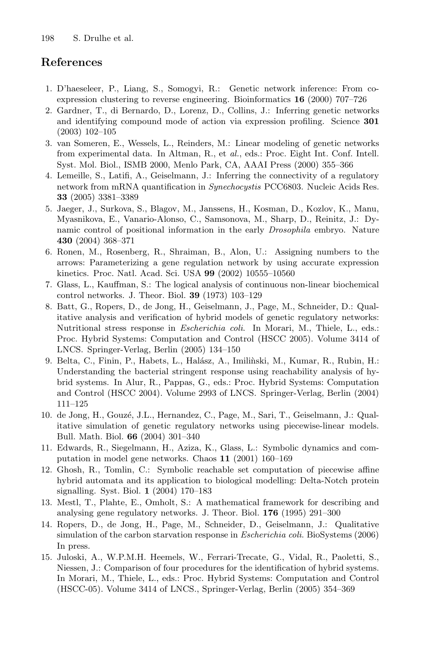## **References**

- 1. D'haeseleer, P., Liang, S., Somogyi, R.: Genetic network inference: From coexpression clustering to reverse engineering. Bioinformatics **16** (2000) 707–726
- 2. Gardner, T., di Bernardo, D., Lorenz, D., Collins, J.: Inferring genetic networks and identifying compound mode of action via expression profiling. Science **301** (2003) 102–105
- 3. van Someren, E., Wessels, L., Reinders, M.: Linear modeling of genetic networks from experimental data. In Altman, R., et al., eds.: Proc. Eight Int. Conf. Intell. Syst. Mol. Biol., ISMB 2000, Menlo Park, CA, AAAI Press (2000) 355–366
- 4. Lemeille, S., Latifi, A., Geiselmann, J.: Inferring the connectivity of a regulatory network from mRNA quantification in *Synechocystis* PCC6803. Nucleic Acids Res. **33** (2005) 3381–3389
- 5. Jaeger, J., Surkova, S., Blagov, M., Janssens, H., Kosman, D., Kozlov, K., Manu, Myasnikova, E., Vanario-Alonso, C., Samsonova, M., Sharp, D., Reinitz, J.: Dynamic control of positional information in the early Drosophila embryo. Nature **430** (2004) 368–371
- 6. Ronen, M., Rosenberg, R., Shraiman, B., Alon, U.: Assigning numbers to the arrows: Parameterizing a gene regulation network by using accurate expression kinetics. Proc. Natl. Acad. Sci. USA **99** (2002) 10555–10560
- 7. Glass, L., Kauffman, S.: The logical analysis of continuous non-linear biochemical control networks. J. Theor. Biol. **39** (1973) 103–129
- 8. Batt, G., Ropers, D., de Jong, H., Geiselmann, J., Page, M., Schneider, D.: Qualitative analysis and verification of hybrid models of genetic regulatory networks: Nutritional stress response in Escherichia coli. In Morari, M., Thiele, L., eds.: Proc. Hybrid Systems: Computation and Control (HSCC 2005). Volume 3414 of LNCS. Springer-Verlag, Berlin (2005) 134–150
- 9. Belta, C., Finin, P., Habets, L., Halász, A., Imiliñski, M., Kumar, R., Rubin, H.: Understanding the bacterial stringent response using reachability analysis of hybrid systems. In Alur, R., Pappas, G., eds.: Proc. Hybrid Systems: Computation and Control (HSCC 2004). Volume 2993 of LNCS. Springer-Verlag, Berlin (2004) 111–125
- 10. de Jong, H., Gouzé, J.L., Hernandez, C., Page, M., Sari, T., Geiselmann, J.: Qualitative simulation of genetic regulatory networks using piecewise-linear models. Bull. Math. Biol. **66** (2004) 301–340
- 11. Edwards, R., Siegelmann, H., Aziza, K., Glass, L.: Symbolic dynamics and computation in model gene networks. Chaos **11** (2001) 160–169
- 12. Ghosh, R., Tomlin, C.: Symbolic reachable set computation of piecewise affine hybrid automata and its application to biological modelling: Delta-Notch protein signalling. Syst. Biol. **1** (2004) 170–183
- 13. Mestl, T., Plahte, E., Omholt, S.: A mathematical framework for describing and analysing gene regulatory networks. J. Theor. Biol. **176** (1995) 291–300
- 14. Ropers, D., de Jong, H., Page, M., Schneider, D., Geiselmann, J.: Qualitative simulation of the carbon starvation response in Escherichia coli. BioSystems (2006) In press.
- 15. Juloski, A., W.P.M.H. Heemels, W., Ferrari-Trecate, G., Vidal, R., Paoletti, S., Niessen, J.: Comparison of four procedures for the identification of hybrid systems. In Morari, M., Thiele, L., eds.: Proc. Hybrid Systems: Computation and Control (HSCC-05). Volume 3414 of LNCS., Springer-Verlag, Berlin (2005) 354–369